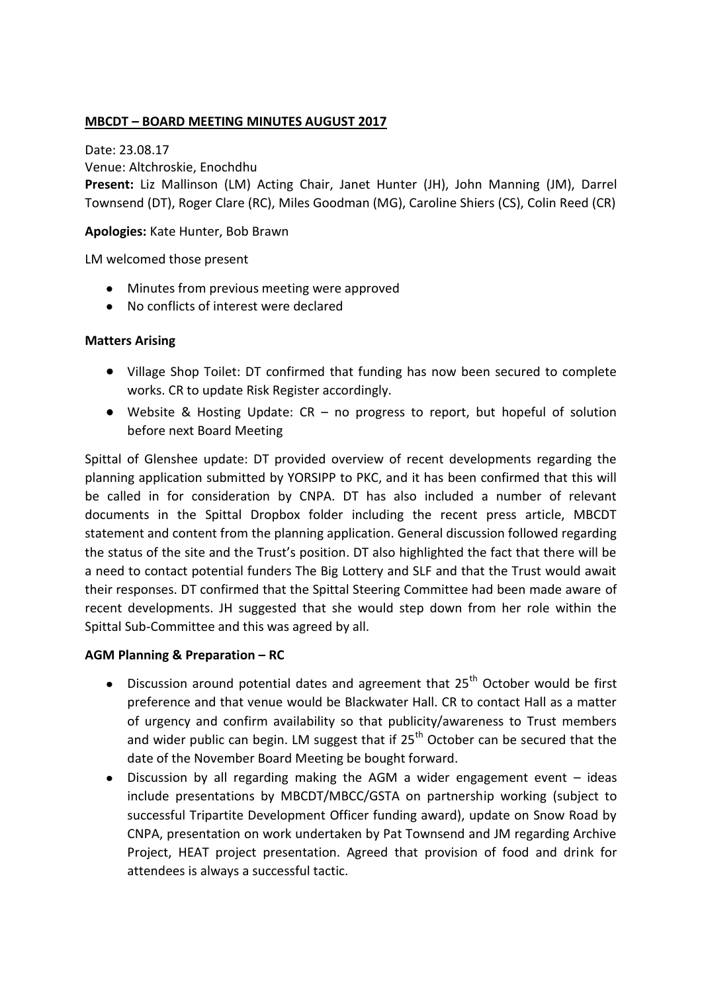## **MBCDT – BOARD MEETING MINUTES AUGUST 2017**

Date: 23.08.17 Venue: Altchroskie, Enochdhu

**Present:** Liz Mallinson (LM) Acting Chair, Janet Hunter (JH), John Manning (JM), Darrel Townsend (DT), Roger Clare (RC), Miles Goodman (MG), Caroline Shiers (CS), Colin Reed (CR)

### **Apologies:** Kate Hunter, Bob Brawn

LM welcomed those present

- Minutes from previous meeting were approved
- No conflicts of interest were declared

### **Matters Arising**

- Village Shop Toilet: DT confirmed that funding has now been secured to complete works. CR to update Risk Register accordingly.
- Website & Hosting Update: CR no progress to report, but hopeful of solution before next Board Meeting

Spittal of Glenshee update: DT provided overview of recent developments regarding the planning application submitted by YORSIPP to PKC, and it has been confirmed that this will be called in for consideration by CNPA. DT has also included a number of relevant documents in the Spittal Dropbox folder including the recent press article, MBCDT statement and content from the planning application. General discussion followed regarding the status of the site and the Trust's position. DT also highlighted the fact that there will be a need to contact potential funders The Big Lottery and SLF and that the Trust would await their responses. DT confirmed that the Spittal Steering Committee had been made aware of recent developments. JH suggested that she would step down from her role within the Spittal Sub-Committee and this was agreed by all.

### **AGM Planning & Preparation – RC**

- Discussion around potential dates and agreement that  $25<sup>th</sup>$  October would be first  $\bullet$ preference and that venue would be Blackwater Hall. CR to contact Hall as a matter of urgency and confirm availability so that publicity/awareness to Trust members and wider public can begin. LM suggest that if  $25<sup>th</sup>$  October can be secured that the date of the November Board Meeting be bought forward.
- $\bullet$ Discussion by all regarding making the AGM a wider engagement event  $-$  ideas include presentations by MBCDT/MBCC/GSTA on partnership working (subject to successful Tripartite Development Officer funding award), update on Snow Road by CNPA, presentation on work undertaken by Pat Townsend and JM regarding Archive Project, HEAT project presentation. Agreed that provision of food and drink for attendees is always a successful tactic.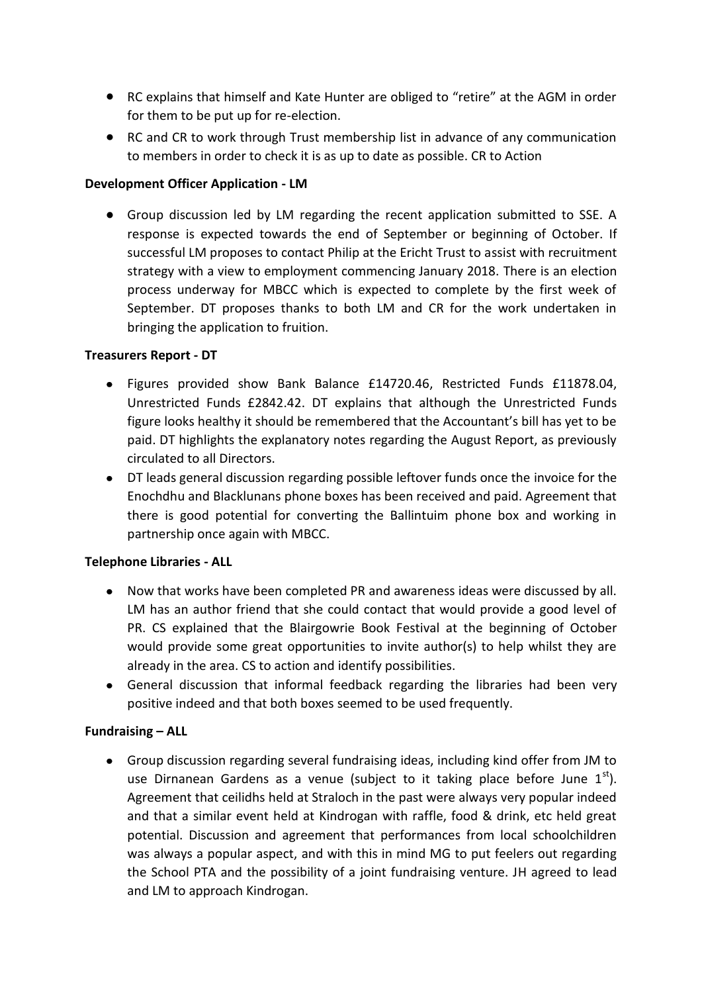- RC explains that himself and Kate Hunter are obliged to "retire" at the AGM in order for them to be put up for re-election.
- RC and CR to work through Trust membership list in advance of any communication to members in order to check it is as up to date as possible. CR to Action

# **Development Officer Application - LM**

Group discussion led by LM regarding the recent application submitted to SSE. A response is expected towards the end of September or beginning of October. If successful LM proposes to contact Philip at the Ericht Trust to assist with recruitment strategy with a view to employment commencing January 2018. There is an election process underway for MBCC which is expected to complete by the first week of September. DT proposes thanks to both LM and CR for the work undertaken in bringing the application to fruition.

# **Treasurers Report - DT**

- Figures provided show Bank Balance £14720.46, Restricted Funds £11878.04,  $\bullet$ Unrestricted Funds £2842.42. DT explains that although the Unrestricted Funds figure looks healthy it should be remembered that the Accountant's bill has yet to be paid. DT highlights the explanatory notes regarding the August Report, as previously circulated to all Directors.
- DT leads general discussion regarding possible leftover funds once the invoice for the Enochdhu and Blacklunans phone boxes has been received and paid. Agreement that there is good potential for converting the Ballintuim phone box and working in partnership once again with MBCC.

# **Telephone Libraries - ALL**

- Now that works have been completed PR and awareness ideas were discussed by all.  $\bullet$ LM has an author friend that she could contact that would provide a good level of PR. CS explained that the Blairgowrie Book Festival at the beginning of October would provide some great opportunities to invite author(s) to help whilst they are already in the area. CS to action and identify possibilities.
- General discussion that informal feedback regarding the libraries had been very positive indeed and that both boxes seemed to be used frequently.

# **Fundraising – ALL**

Group discussion regarding several fundraising ideas, including kind offer from JM to use Dirnanean Gardens as a venue (subject to it taking place before June  $1^{st}$ ). Agreement that ceilidhs held at Straloch in the past were always very popular indeed and that a similar event held at Kindrogan with raffle, food & drink, etc held great potential. Discussion and agreement that performances from local schoolchildren was always a popular aspect, and with this in mind MG to put feelers out regarding the School PTA and the possibility of a joint fundraising venture. JH agreed to lead and LM to approach Kindrogan.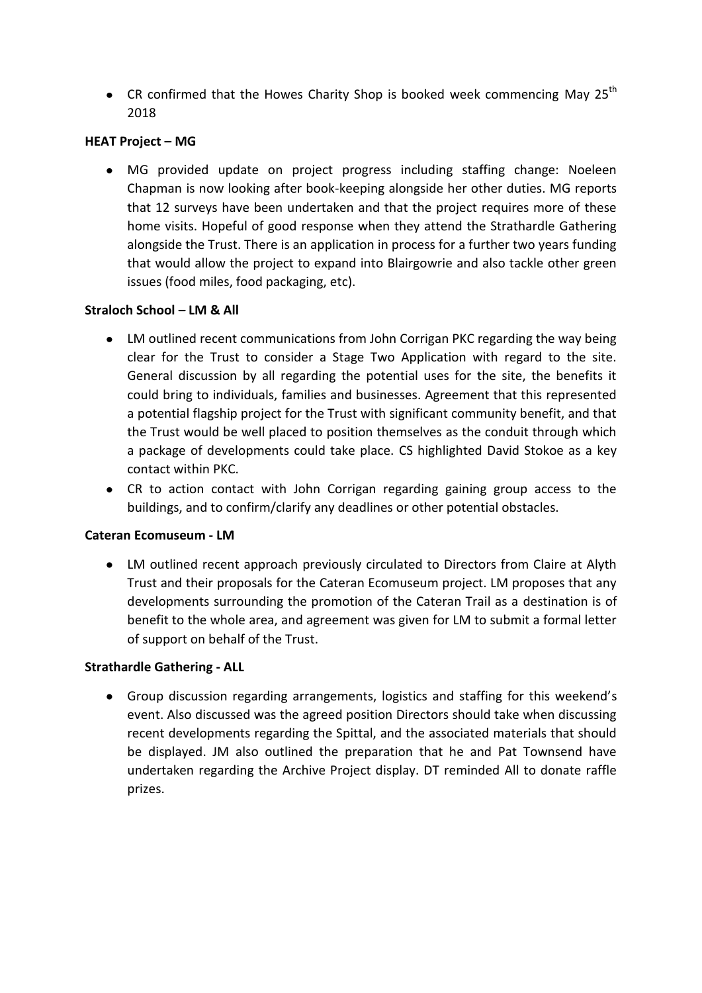• CR confirmed that the Howes Charity Shop is booked week commencing May 25<sup>th</sup> 2018

# **HEAT Project – MG**

MG provided update on project progress including staffing change: Noeleen  $\bullet$ Chapman is now looking after book-keeping alongside her other duties. MG reports that 12 surveys have been undertaken and that the project requires more of these home visits. Hopeful of good response when they attend the Strathardle Gathering alongside the Trust. There is an application in process for a further two years funding that would allow the project to expand into Blairgowrie and also tackle other green issues (food miles, food packaging, etc).

## **Straloch School – LM & All**

- LM outlined recent communications from John Corrigan PKC regarding the way being clear for the Trust to consider a Stage Two Application with regard to the site. General discussion by all regarding the potential uses for the site, the benefits it could bring to individuals, families and businesses. Agreement that this represented a potential flagship project for the Trust with significant community benefit, and that the Trust would be well placed to position themselves as the conduit through which a package of developments could take place. CS highlighted David Stokoe as a key contact within PKC.
- CR to action contact with John Corrigan regarding gaining group access to the buildings, and to confirm/clarify any deadlines or other potential obstacles.

### **Cateran Ecomuseum - LM**

LM outlined recent approach previously circulated to Directors from Claire at Alyth Trust and their proposals for the Cateran Ecomuseum project. LM proposes that any developments surrounding the promotion of the Cateran Trail as a destination is of benefit to the whole area, and agreement was given for LM to submit a formal letter of support on behalf of the Trust.

### **Strathardle Gathering - ALL**

Group discussion regarding arrangements, logistics and staffing for this weekend's event. Also discussed was the agreed position Directors should take when discussing recent developments regarding the Spittal, and the associated materials that should be displayed. JM also outlined the preparation that he and Pat Townsend have undertaken regarding the Archive Project display. DT reminded All to donate raffle prizes.